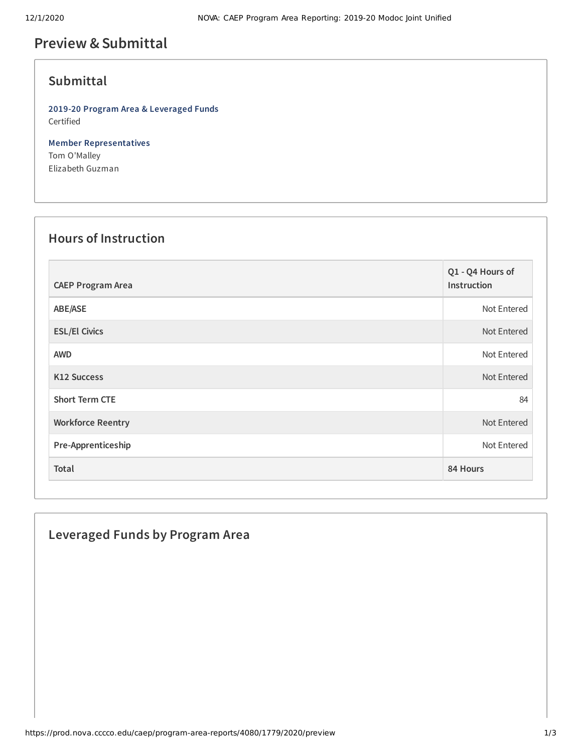## **Preview &Submittal**

### **Submittal**

**2019-20 Program Area & Leveraged Funds** Certified

**Member Representatives** Tom O'Malley Elizabeth Guzman

### **Hours of Instruction**

| <b>CAEP Program Area</b> | Q1 - Q4 Hours of<br>Instruction |
|--------------------------|---------------------------------|
| ABE/ASE                  | Not Entered                     |
| <b>ESL/El Civics</b>     | Not Entered                     |
| <b>AWD</b>               | Not Entered                     |
| K12 Success              | Not Entered                     |
| <b>Short Term CTE</b>    | 84                              |
| <b>Workforce Reentry</b> | Not Entered                     |
| Pre-Apprenticeship       | Not Entered                     |
| Total                    | 84 Hours                        |

# **Leveraged Funds by Program Area**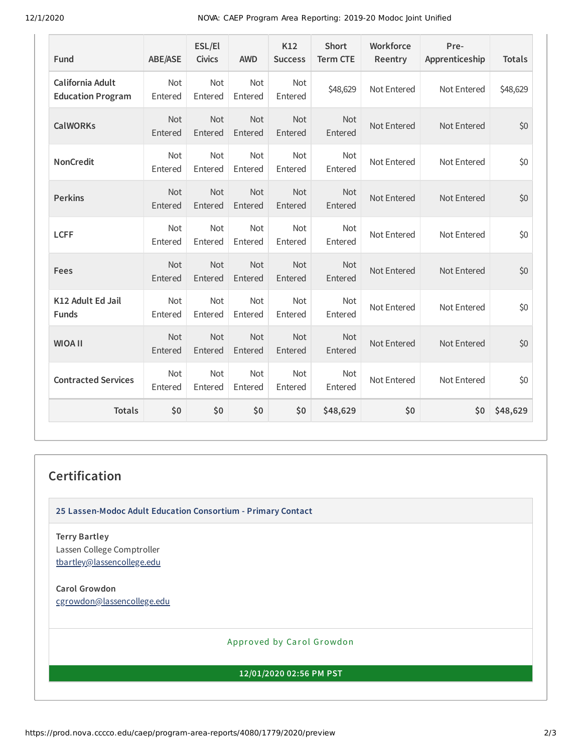12/1/2020 NOVA: CAEP Program Area Reporting: 2019-20 Modoc Joint Unified

| Fund                                         | <b>ABE/ASE</b>        | ESL/El<br><b>Civics</b> | <b>AWD</b>            | K12<br><b>Success</b> | <b>Short</b><br><b>Term CTE</b> | Workforce<br>Reentry | Pre-<br>Apprenticeship | <b>Totals</b> |
|----------------------------------------------|-----------------------|-------------------------|-----------------------|-----------------------|---------------------------------|----------------------|------------------------|---------------|
| California Adult<br><b>Education Program</b> | Not<br>Entered        | Not<br>Entered          | Not<br>Entered        | Not<br>Entered        | \$48,629                        | Not Entered          | Not Entered            | \$48,629      |
| <b>CalWORKs</b>                              | Not<br>Entered        | Not<br>Entered          | Not<br>Entered        | Not<br>Entered        | Not<br>Entered                  | Not Entered          | Not Entered            | \$0           |
| <b>NonCredit</b>                             | Not<br>Entered        | Not<br>Entered          | Not<br>Entered        | Not<br>Entered        | Not<br>Entered                  | Not Entered          | Not Entered            | \$0           |
| <b>Perkins</b>                               | Not<br>Entered        | <b>Not</b><br>Entered   | <b>Not</b><br>Entered | Not<br>Entered        | <b>Not</b><br>Entered           | Not Entered          | Not Entered            | \$0           |
| <b>LCFF</b>                                  | <b>Not</b><br>Entered | <b>Not</b><br>Entered   | <b>Not</b><br>Entered | <b>Not</b><br>Entered | <b>Not</b><br>Entered           | Not Entered          | Not Entered            | \$0           |
| Fees                                         | Not<br>Entered        | Not<br>Entered          | Not<br>Entered        | Not<br>Entered        | <b>Not</b><br>Entered           | Not Entered          | Not Entered            | \$0           |
| K12 Adult Ed Jail<br><b>Funds</b>            | Not<br>Entered        | Not<br>Entered          | Not<br>Entered        | Not<br>Entered        | <b>Not</b><br>Entered           | Not Entered          | Not Entered            | \$0           |
| <b>WIOA II</b>                               | Not<br>Entered        | Not<br>Entered          | Not<br>Entered        | Not<br>Entered        | Not<br>Entered                  | Not Entered          | Not Entered            | \$0           |
| <b>Contracted Services</b>                   | Not<br>Entered        | Not<br>Entered          | Not<br>Entered        | Not<br>Entered        | Not<br>Entered                  | Not Entered          | Not Entered            | \$0           |
| <b>Totals</b>                                | \$0                   | \$0                     | \$0                   | \$0                   | \$48,629                        | \$0                  | \$0                    | \$48,629      |

#### **Certification**

**25 Lassen-Modoc Adult Education Consortium - Primary Contact**

**Terry Bartley** Lassen College Comptroller [tbartley@lassencollege.edu](mailto:tbartley@lassencollege.edu)

**Carol Growdon** [cgrowdon@lassencollege.edu](mailto:cgrowdon@lassencollege.edu)

Approved by Carol Growdon

**12/01/2020 02:56 PM PST**